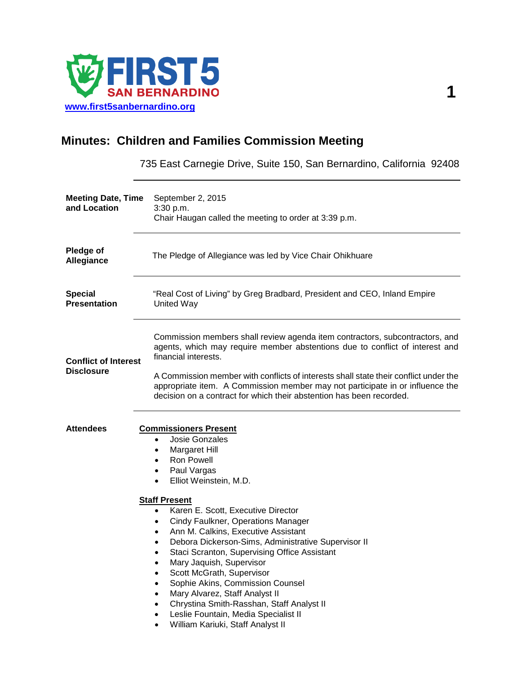

# **Minutes: Children and Families Commission Meeting**

735 East Carnegie Drive, Suite 150, San Bernardino, California 92408 **Meeting Date, Time**  September 2, 2015 **and Location**  3:30 p.m. Chair Haugan called the meeting to order at 3:39 p.m. **Pledge of Allegiance** The Pledge of Allegiance was led by Vice Chair Ohikhuare **Special Presentation** "Real Cost of Living" by Greg Bradbard, President and CEO, Inland Empire United Way **Conflict of Interest Disclosure** Commission members shall review agenda item contractors, subcontractors, and agents, which may require member abstentions due to conflict of interest and financial interests. A Commission member with conflicts of interests shall state their conflict under the appropriate item. A Commission member may not participate in or influence the decision on a contract for which their abstention has been recorded. **Attendees Commissioners Present** • Josie Gonzales • Margaret Hill • Ron Powell Paul Vargas • Elliot Weinstein, M.D. **Staff Present** • Karen E. Scott, Executive Director • Cindy Faulkner, Operations Manager • Ann M. Calkins, Executive Assistant • Debora Dickerson-Sims, Administrative Supervisor II Staci Scranton, Supervising Office Assistant • Mary Jaquish, Supervisor

- Scott McGrath, Supervisor
- Sophie Akins, Commission Counsel
- Mary Alvarez, Staff Analyst II
- Chrystina Smith-Rasshan, Staff Analyst II
- Leslie Fountain, Media Specialist II
- William Kariuki, Staff Analyst II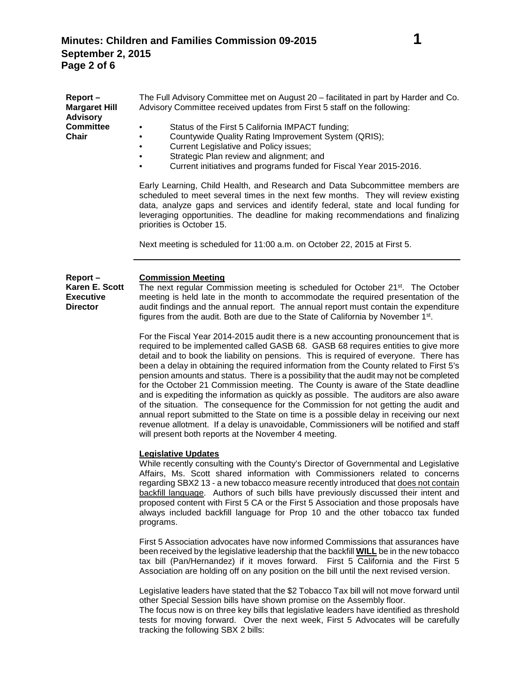| Report –             | The Full Advisory Committee met on August 20 – facilitated in part by Harder and Co. |
|----------------------|--------------------------------------------------------------------------------------|
| <b>Margaret Hill</b> | Advisory Committee received updates from First 5 staff on the following:             |
| <b>Advisory</b>      |                                                                                      |
| <b>Committee</b>     | Status of the First 5 California IMPACT funding;<br>٠                                |
| <b>Chair</b>         | Countywide Quality Rating Improvement System (QRIS);<br>٠                            |
|                      | Current Legislative and Policy issues;<br>$\bullet$                                  |
|                      | Strategic Plan review and alignment; and<br>٠                                        |

• Current initiatives and programs funded for Fiscal Year 2015-2016.

Early Learning, Child Health, and Research and Data Subcommittee members are scheduled to meet several times in the next few months. They will review existing data, analyze gaps and services and identify federal, state and local funding for leveraging opportunities. The deadline for making recommendations and finalizing priorities is October 15.

Next meeting is scheduled for 11:00 a.m. on October 22, 2015 at First 5.

#### **Report – Commission Meeting**

**Karen E. Scott Executive Director**

The next regular Commission meeting is scheduled for October 21st. The October meeting is held late in the month to accommodate the required presentation of the audit findings and the annual report. The annual report must contain the expenditure figures from the audit. Both are due to the State of California by November 1st.

For the Fiscal Year 2014-2015 audit there is a new accounting pronouncement that is required to be implemented called GASB 68. GASB 68 requires entities to give more detail and to book the liability on pensions. This is required of everyone. There has been a delay in obtaining the required information from the County related to First 5's pension amounts and status. There is a possibility that the audit may not be completed for the October 21 Commission meeting. The County is aware of the State deadline and is expediting the information as quickly as possible. The auditors are also aware of the situation. The consequence for the Commission for not getting the audit and annual report submitted to the State on time is a possible delay in receiving our next revenue allotment. If a delay is unavoidable, Commissioners will be notified and staff will present both reports at the November 4 meeting.

## **Legislative Updates**

While recently consulting with the County's Director of Governmental and Legislative Affairs, Ms. Scott shared information with Commissioners related to concerns regarding SBX2 13 - a new tobacco measure recently introduced that does not contain backfill language. Authors of such bills have previously discussed their intent and proposed content with First 5 CA or the First 5 Association and those proposals have always included backfill language for Prop 10 and the other tobacco tax funded programs.

First 5 Association advocates have now informed Commissions that assurances have been received by the legislative leadership that the backfill **WILL** be in the new tobacco tax bill (Pan/Hernandez) if it moves forward. First 5 California and the First 5 Association are holding off on any position on the bill until the next revised version.

Legislative leaders have stated that the \$2 Tobacco Tax bill will not move forward until other Special Session bills have shown promise on the Assembly floor.

The focus now is on three key bills that legislative leaders have identified as threshold tests for moving forward. Over the next week, First 5 Advocates will be carefully tracking the following SBX 2 bills: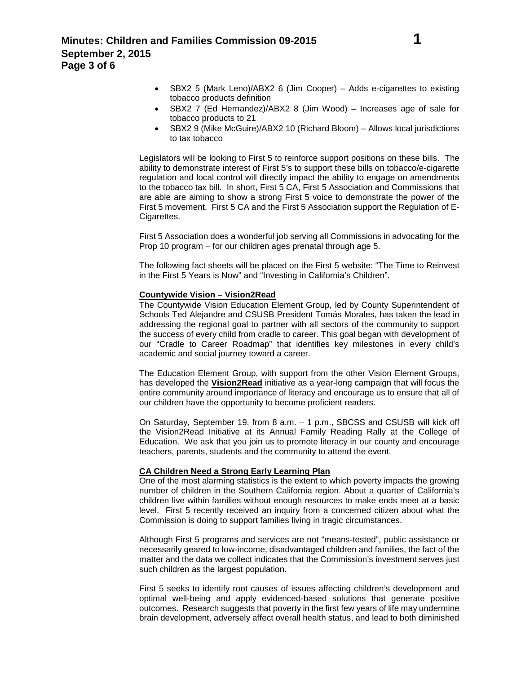- SBX2 7 (Ed Hernandez)/ABX2 8 (Jim Wood) Increases age of sale for tobacco products to 21
- SBX2 9 (Mike McGuire)/ABX2 10 (Richard Bloom) Allows local jurisdictions to tax tobacco

Legislators will be looking to First 5 to reinforce support positions on these bills. The ability to demonstrate interest of First 5's to support these bills on tobacco/e-cigarette regulation and local control will directly impact the ability to engage on amendments to the tobacco tax bill. In short, First 5 CA, First 5 Association and Commissions that are able are aiming to show a strong First 5 voice to demonstrate the power of the First 5 movement. First 5 CA and the First 5 Association support the Regulation of E-Cigarettes.

First 5 Association does a wonderful job serving all Commissions in advocating for the Prop 10 program – for our children ages prenatal through age 5.

The following fact sheets will be placed on the First 5 website: "The Time to Reinvest in the First 5 Years is Now" and "Investing in California's Children".

## **Countywide Vision – Vision2Read**

The Countywide Vision Education Element Group, led by County Superintendent of Schools Ted Alejandre and CSUSB President Tomás Morales, has taken the lead in addressing the regional goal to partner with all sectors of the community to support the success of every child from cradle to career. This goal began with development of our "Cradle to Career Roadmap" that identifies key milestones in every child's academic and social journey toward a career.

The Education Element Group, with support from the other Vision Element Groups, has developed the **Vision2Read** initiative as a year-long campaign that will focus the entire community around importance of literacy and encourage us to ensure that all of our children have the opportunity to become proficient readers.

On Saturday, September 19, from 8 a.m. – 1 p.m., SBCSS and CSUSB will kick off the Vision2Read Initiative at its Annual Family Reading Rally at the College of Education. We ask that you join us to promote literacy in our county and encourage teachers, parents, students and the community to attend the event.

### **CA Children Need a Strong Early Learning Plan**

One of the most alarming statistics is the extent to which poverty impacts the growing number of children in the Southern California region. About a quarter of California's children live within families without enough resources to make ends meet at a basic level. First 5 recently received an inquiry from a concerned citizen about what the Commission is doing to support families living in tragic circumstances.

Although First 5 programs and services are not "means-tested", public assistance or necessarily geared to low-income, disadvantaged children and families, the fact of the matter and the data we collect indicates that the Commission's investment serves just such children as the largest population.

First 5 seeks to identify root causes of issues affecting children's development and optimal well-being and apply evidenced-based solutions that generate positive outcomes. Research suggests that poverty in the first few years of life may undermine brain development, adversely affect overall health status, and lead to both diminished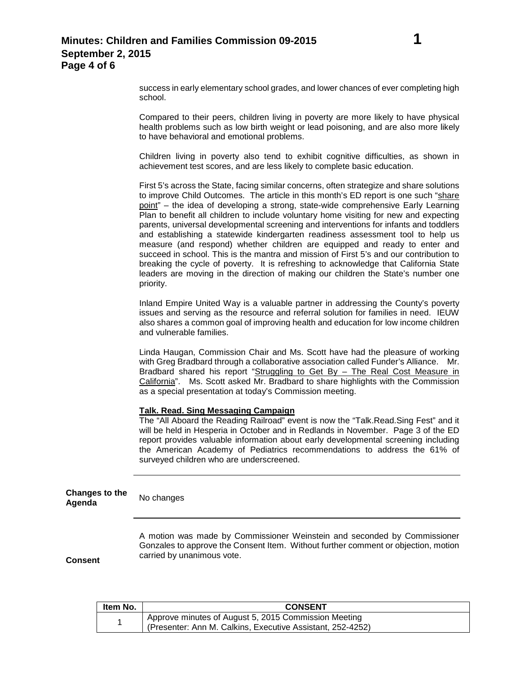success in early elementary school grades, and lower chances of ever completing high school.

Compared to their peers, children living in poverty are more likely to have physical health problems such as low birth weight or lead poisoning, and are also more likely to have behavioral and emotional problems.

Children living in poverty also tend to exhibit cognitive difficulties, as shown in achievement test scores, and are less likely to complete basic education.

First 5's across the State, facing similar concerns, often strategize and share solutions to improve Child Outcomes. The article in this month's ED report is one such "share point" – the idea of developing a strong, state-wide comprehensive Early Learning Plan to benefit all children to include voluntary home visiting for new and expecting parents, universal developmental screening and interventions for infants and toddlers and establishing a statewide kindergarten readiness assessment tool to help us measure (and respond) whether children are equipped and ready to enter and succeed in school. This is the mantra and mission of First 5's and our contribution to breaking the cycle of poverty. It is refreshing to acknowledge that California State leaders are moving in the direction of making our children the State's number one priority.

Inland Empire United Way is a valuable partner in addressing the County's poverty issues and serving as the resource and referral solution for families in need. IEUW also shares a common goal of improving health and education for low income children and vulnerable families.

Linda Haugan, Commission Chair and Ms. Scott have had the pleasure of working with Greg Bradbard through a collaborative association called Funder's Alliance. Mr. Bradbard shared his report "Struggling to Get By – The Real Cost Measure in California". Ms. Scott asked Mr. Bradbard to share highlights with the Commission as a special presentation at today's Commission meeting.

### **Talk. Read. Sing Messaging Campaign**

The "All Aboard the Reading Railroad" event is now the "Talk.Read.Sing Fest" and it will be held in Hesperia in October and in Redlands in November. Page 3 of the ED report provides valuable information about early developmental screening including the American Academy of Pediatrics recommendations to address the 61% of surveyed children who are underscreened.

**Changes to the Agenda** No changes

> A motion was made by Commissioner Weinstein and seconded by Commissioner Gonzales to approve the Consent Item. Without further comment or objection, motion carried by unanimous vote.

**Consent**

| Item No. | <b>CONSENT</b>                                                                                                     |
|----------|--------------------------------------------------------------------------------------------------------------------|
|          | Approve minutes of August 5, 2015 Commission Meeting<br>(Presenter: Ann M. Calkins, Executive Assistant, 252-4252) |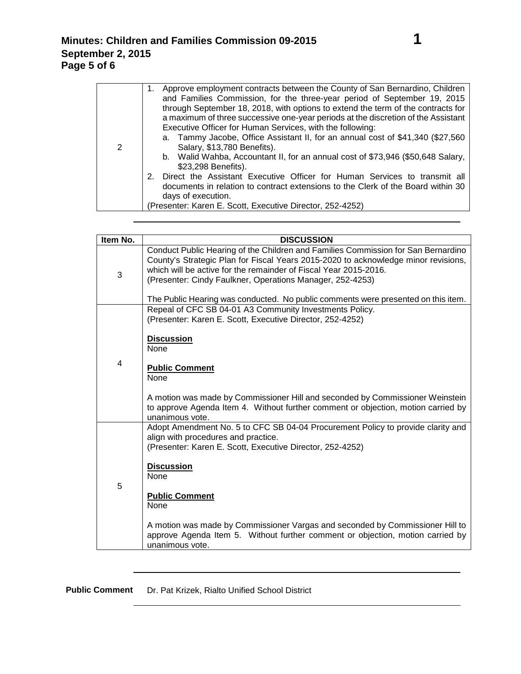|   | Approve employment contracts between the County of San Bernardino, Children       |
|---|-----------------------------------------------------------------------------------|
|   | and Families Commission, for the three-year period of September 19, 2015          |
|   | through September 18, 2018, with options to extend the term of the contracts for  |
|   | a maximum of three successive one-year periods at the discretion of the Assistant |
|   | Executive Officer for Human Services, with the following:                         |
|   | a. Tammy Jacobe, Office Assistant II, for an annual cost of \$41,340 (\$27,560)   |
| 2 | Salary, \$13,780 Benefits).                                                       |
|   | b. Walid Wahba, Accountant II, for an annual cost of \$73,946 (\$50,648 Salary,   |
|   | \$23,298 Benefits).                                                               |
|   | 2. Direct the Assistant Executive Officer for Human Services to transmit all      |
|   | documents in relation to contract extensions to the Clerk of the Board within 30  |
|   | days of execution.                                                                |
|   | (Presenter: Karen E. Scott, Executive Director, 252-4252)                         |

| Item No. | <b>DISCUSSION</b>                                                                                                                                                                                                                                                                                                                                                                             |
|----------|-----------------------------------------------------------------------------------------------------------------------------------------------------------------------------------------------------------------------------------------------------------------------------------------------------------------------------------------------------------------------------------------------|
| 3        | Conduct Public Hearing of the Children and Families Commission for San Bernardino<br>County's Strategic Plan for Fiscal Years 2015-2020 to acknowledge minor revisions,<br>which will be active for the remainder of Fiscal Year 2015-2016.<br>(Presenter: Cindy Faulkner, Operations Manager, 252-4253)<br>The Public Hearing was conducted. No public comments were presented on this item. |
| 4        | Repeal of CFC SB 04-01 A3 Community Investments Policy.<br>(Presenter: Karen E. Scott, Executive Director, 252-4252)<br><b>Discussion</b><br><b>None</b><br><b>Public Comment</b>                                                                                                                                                                                                             |
|          | <b>None</b><br>A motion was made by Commissioner Hill and seconded by Commissioner Weinstein<br>to approve Agenda Item 4. Without further comment or objection, motion carried by<br>unanimous vote.                                                                                                                                                                                          |
| 5        | Adopt Amendment No. 5 to CFC SB 04-04 Procurement Policy to provide clarity and<br>align with procedures and practice.<br>(Presenter: Karen E. Scott, Executive Director, 252-4252)<br><b>Discussion</b><br>None<br><b>Public Comment</b><br>None<br>A motion was made by Commissioner Vargas and seconded by Commissioner Hill to                                                            |
|          | approve Agenda Item 5. Without further comment or objection, motion carried by<br>unanimous vote.                                                                                                                                                                                                                                                                                             |

**Public Comment** Dr. Pat Krizek, Rialto Unified School District